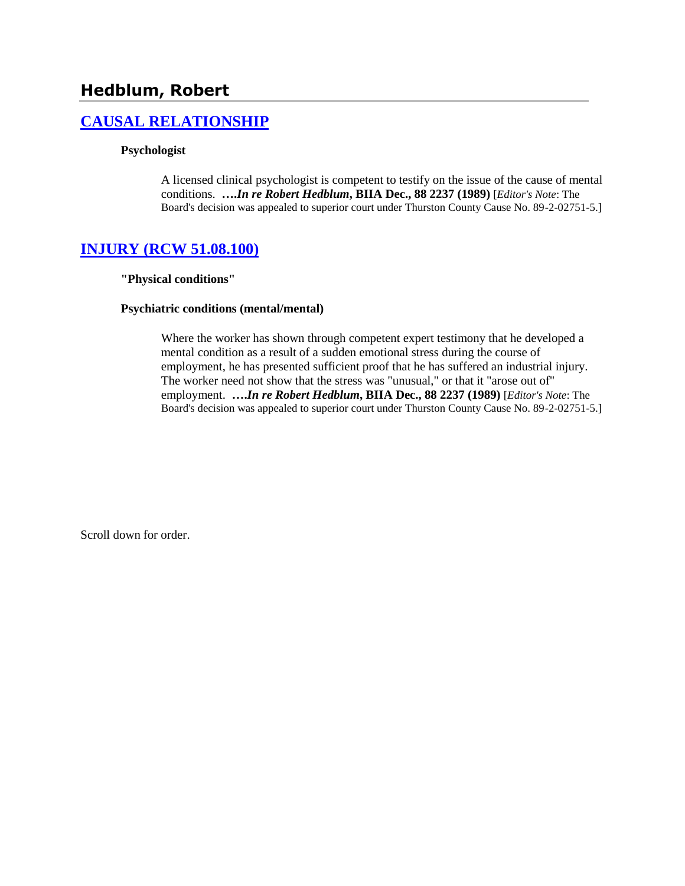# **Hedblum, Robert**

# **[CAUSAL RELATIONSHIP](http://www.biia.wa.gov/SDSubjectIndex.html#CAUSAL_RELATIONSHIP/)**

#### **Psychologist**

A licensed clinical psychologist is competent to testify on the issue of the cause of mental conditions. **….***In re Robert Hedblum***, BIIA Dec., 88 2237 (1989)** [*Editor's Note*: The Board's decision was appealed to superior court under Thurston County Cause No. 89-2-02751-5.]

## **[INJURY \(RCW 51.08.100\)](http://www.biia.wa.gov/SDSubjectIndex.html#INJURY)**

#### **"Physical conditions"**

#### **Psychiatric conditions (mental/mental)**

Where the worker has shown through competent expert testimony that he developed a mental condition as a result of a sudden emotional stress during the course of employment, he has presented sufficient proof that he has suffered an industrial injury. The worker need not show that the stress was "unusual," or that it "arose out of" employment. **….***In re Robert Hedblum***, BIIA Dec., 88 2237 (1989)** [*Editor's Note*: The Board's decision was appealed to superior court under Thurston County Cause No. 89-2-02751-5.]

Scroll down for order.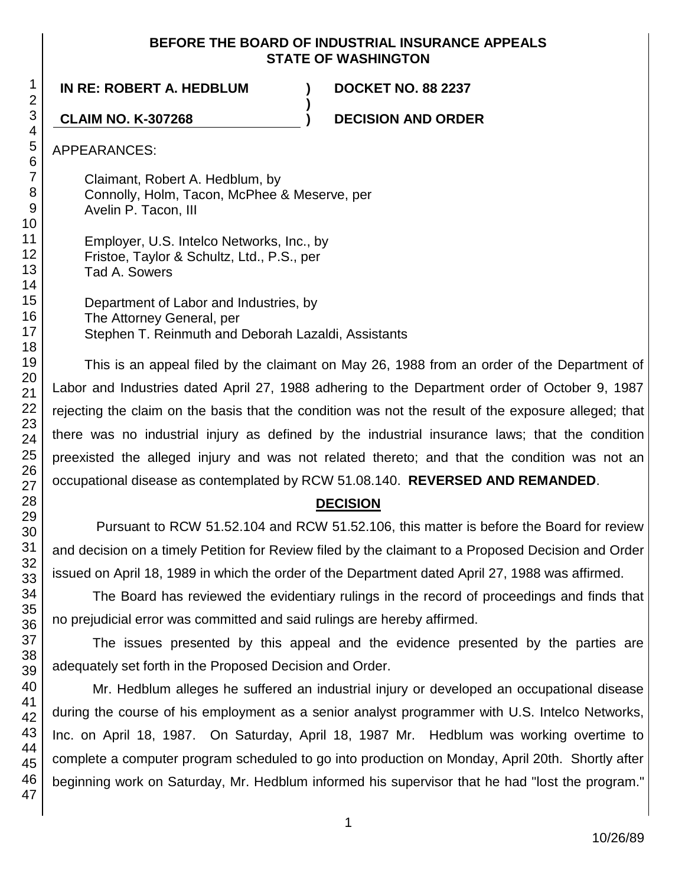## **BEFORE THE BOARD OF INDUSTRIAL INSURANCE APPEALS STATE OF WASHINGTON**

**)**

**IN RE: ROBERT A. HEDBLUM ) DOCKET NO. 88 2237**

**CLAIM NO. K-307268 ) DECISION AND ORDER**

APPEARANCES:

Claimant, Robert A. Hedblum, by Connolly, Holm, Tacon, McPhee & Meserve, per Avelin P. Tacon, III

Employer, U.S. Intelco Networks, Inc., by Fristoe, Taylor & Schultz, Ltd., P.S., per Tad A. Sowers

Department of Labor and Industries, by The Attorney General, per Stephen T. Reinmuth and Deborah Lazaldi, Assistants

This is an appeal filed by the claimant on May 26, 1988 from an order of the Department of Labor and Industries dated April 27, 1988 adhering to the Department order of October 9, 1987 rejecting the claim on the basis that the condition was not the result of the exposure alleged; that there was no industrial injury as defined by the industrial insurance laws; that the condition preexisted the alleged injury and was not related thereto; and that the condition was not an occupational disease as contemplated by RCW 51.08.140. **REVERSED AND REMANDED**.

# **DECISION**

Pursuant to RCW 51.52.104 and RCW 51.52.106, this matter is before the Board for review and decision on a timely Petition for Review filed by the claimant to a Proposed Decision and Order issued on April 18, 1989 in which the order of the Department dated April 27, 1988 was affirmed.

The Board has reviewed the evidentiary rulings in the record of proceedings and finds that no prejudicial error was committed and said rulings are hereby affirmed.

The issues presented by this appeal and the evidence presented by the parties are adequately set forth in the Proposed Decision and Order.

Mr. Hedblum alleges he suffered an industrial injury or developed an occupational disease during the course of his employment as a senior analyst programmer with U.S. Intelco Networks, Inc. on April 18, 1987. On Saturday, April 18, 1987 Mr. Hedblum was working overtime to complete a computer program scheduled to go into production on Monday, April 20th. Shortly after beginning work on Saturday, Mr. Hedblum informed his supervisor that he had "lost the program."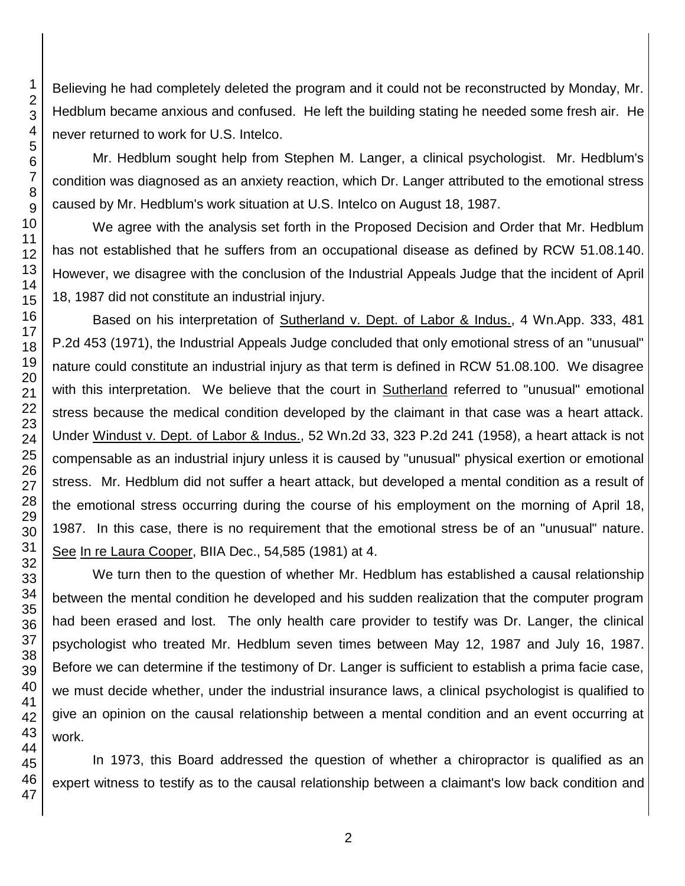Believing he had completely deleted the program and it could not be reconstructed by Monday, Mr. Hedblum became anxious and confused. He left the building stating he needed some fresh air. He never returned to work for U.S. Intelco.

Mr. Hedblum sought help from Stephen M. Langer, a clinical psychologist. Mr. Hedblum's condition was diagnosed as an anxiety reaction, which Dr. Langer attributed to the emotional stress caused by Mr. Hedblum's work situation at U.S. Intelco on August 18, 1987.

We agree with the analysis set forth in the Proposed Decision and Order that Mr. Hedblum has not established that he suffers from an occupational disease as defined by RCW 51.08.140. However, we disagree with the conclusion of the Industrial Appeals Judge that the incident of April 18, 1987 did not constitute an industrial injury.

Based on his interpretation of Sutherland v. Dept. of Labor & Indus., 4 Wn.App. 333, 481 P.2d 453 (1971), the Industrial Appeals Judge concluded that only emotional stress of an "unusual" nature could constitute an industrial injury as that term is defined in RCW 51.08.100. We disagree with this interpretation. We believe that the court in Sutherland referred to "unusual" emotional stress because the medical condition developed by the claimant in that case was a heart attack. Under Windust v. Dept. of Labor & Indus., 52 Wn.2d 33, 323 P.2d 241 (1958), a heart attack is not compensable as an industrial injury unless it is caused by "unusual" physical exertion or emotional stress. Mr. Hedblum did not suffer a heart attack, but developed a mental condition as a result of the emotional stress occurring during the course of his employment on the morning of April 18, 1987. In this case, there is no requirement that the emotional stress be of an "unusual" nature. See In re Laura Cooper, BIIA Dec., 54,585 (1981) at 4.

We turn then to the question of whether Mr. Hedblum has established a causal relationship between the mental condition he developed and his sudden realization that the computer program had been erased and lost. The only health care provider to testify was Dr. Langer, the clinical psychologist who treated Mr. Hedblum seven times between May 12, 1987 and July 16, 1987. Before we can determine if the testimony of Dr. Langer is sufficient to establish a prima facie case, we must decide whether, under the industrial insurance laws, a clinical psychologist is qualified to give an opinion on the causal relationship between a mental condition and an event occurring at work.

In 1973, this Board addressed the question of whether a chiropractor is qualified as an expert witness to testify as to the causal relationship between a claimant's low back condition and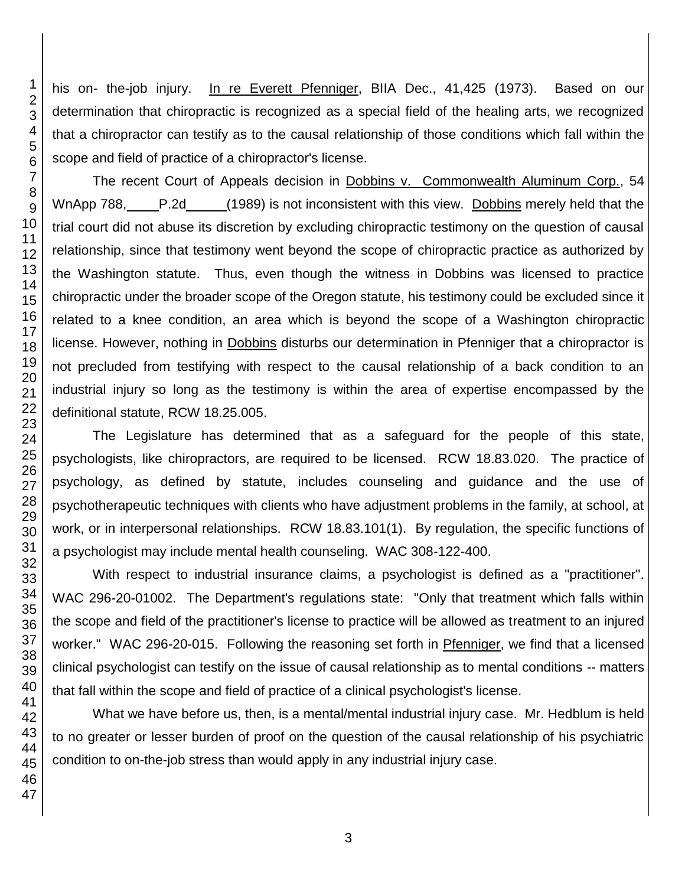his on- the-job injury. In re Everett Pfenniger, BIIA Dec., 41,425 (1973). Based on our determination that chiropractic is recognized as a special field of the healing arts, we recognized that a chiropractor can testify as to the causal relationship of those conditions which fall within the scope and field of practice of a chiropractor's license.

The recent Court of Appeals decision in Dobbins v. Commonwealth Aluminum Corp., 54 WnApp 788, P.2d (1989) is not inconsistent with this view. Dobbins merely held that the trial court did not abuse its discretion by excluding chiropractic testimony on the question of causal relationship, since that testimony went beyond the scope of chiropractic practice as authorized by the Washington statute. Thus, even though the witness in Dobbins was licensed to practice chiropractic under the broader scope of the Oregon statute, his testimony could be excluded since it related to a knee condition, an area which is beyond the scope of a Washington chiropractic license. However, nothing in Dobbins disturbs our determination in Pfenniger that a chiropractor is not precluded from testifying with respect to the causal relationship of a back condition to an industrial injury so long as the testimony is within the area of expertise encompassed by the definitional statute, RCW 18.25.005.

The Legislature has determined that as a safeguard for the people of this state, psychologists, like chiropractors, are required to be licensed. RCW 18.83.020. The practice of psychology, as defined by statute, includes counseling and guidance and the use of psychotherapeutic techniques with clients who have adjustment problems in the family, at school, at work, or in interpersonal relationships. RCW 18.83.101(1). By regulation, the specific functions of a psychologist may include mental health counseling. WAC 308-122-400.

With respect to industrial insurance claims, a psychologist is defined as a "practitioner". WAC 296-20-01002. The Department's regulations state: "Only that treatment which falls within the scope and field of the practitioner's license to practice will be allowed as treatment to an injured worker." WAC 296-20-015. Following the reasoning set forth in Pfenniger, we find that a licensed clinical psychologist can testify on the issue of causal relationship as to mental conditions -- matters that fall within the scope and field of practice of a clinical psychologist's license.

What we have before us, then, is a mental/mental industrial injury case. Mr. Hedblum is held to no greater or lesser burden of proof on the question of the causal relationship of his psychiatric condition to on-the-job stress than would apply in any industrial injury case.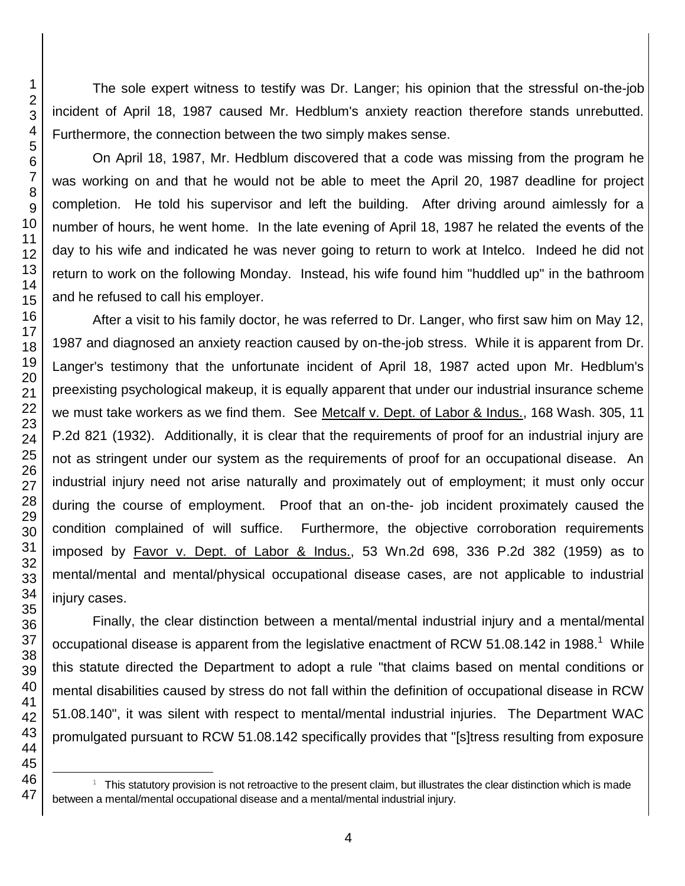The sole expert witness to testify was Dr. Langer; his opinion that the stressful on-the-job incident of April 18, 1987 caused Mr. Hedblum's anxiety reaction therefore stands unrebutted. Furthermore, the connection between the two simply makes sense.

On April 18, 1987, Mr. Hedblum discovered that a code was missing from the program he was working on and that he would not be able to meet the April 20, 1987 deadline for project completion. He told his supervisor and left the building. After driving around aimlessly for a number of hours, he went home. In the late evening of April 18, 1987 he related the events of the day to his wife and indicated he was never going to return to work at Intelco. Indeed he did not return to work on the following Monday. Instead, his wife found him "huddled up" in the bathroom and he refused to call his employer.

After a visit to his family doctor, he was referred to Dr. Langer, who first saw him on May 12, 1987 and diagnosed an anxiety reaction caused by on-the-job stress. While it is apparent from Dr. Langer's testimony that the unfortunate incident of April 18, 1987 acted upon Mr. Hedblum's preexisting psychological makeup, it is equally apparent that under our industrial insurance scheme we must take workers as we find them. See Metcalf v. Dept. of Labor & Indus., 168 Wash. 305, 11 P.2d 821 (1932). Additionally, it is clear that the requirements of proof for an industrial injury are not as stringent under our system as the requirements of proof for an occupational disease. An industrial injury need not arise naturally and proximately out of employment; it must only occur during the course of employment. Proof that an on-the- job incident proximately caused the condition complained of will suffice. Furthermore, the objective corroboration requirements imposed by Favor v. Dept. of Labor & Indus., 53 Wn.2d 698, 336 P.2d 382 (1959) as to mental/mental and mental/physical occupational disease cases, are not applicable to industrial injury cases.

Finally, the clear distinction between a mental/mental industrial injury and a mental/mental occupational disease is apparent from the legislative enactment of RCW 51.08.142 in 1988.<sup>1</sup> While this statute directed the Department to adopt a rule "that claims based on mental conditions or mental disabilities caused by stress do not fall within the definition of occupational disease in RCW 51.08.140", it was silent with respect to mental/mental industrial injuries. The Department WAC promulgated pursuant to RCW 51.08.142 specifically provides that "[s]tress resulting from exposure

l

 This statutory provision is not retroactive to the present claim, but illustrates the clear distinction which is made between a mental/mental occupational disease and a mental/mental industrial injury.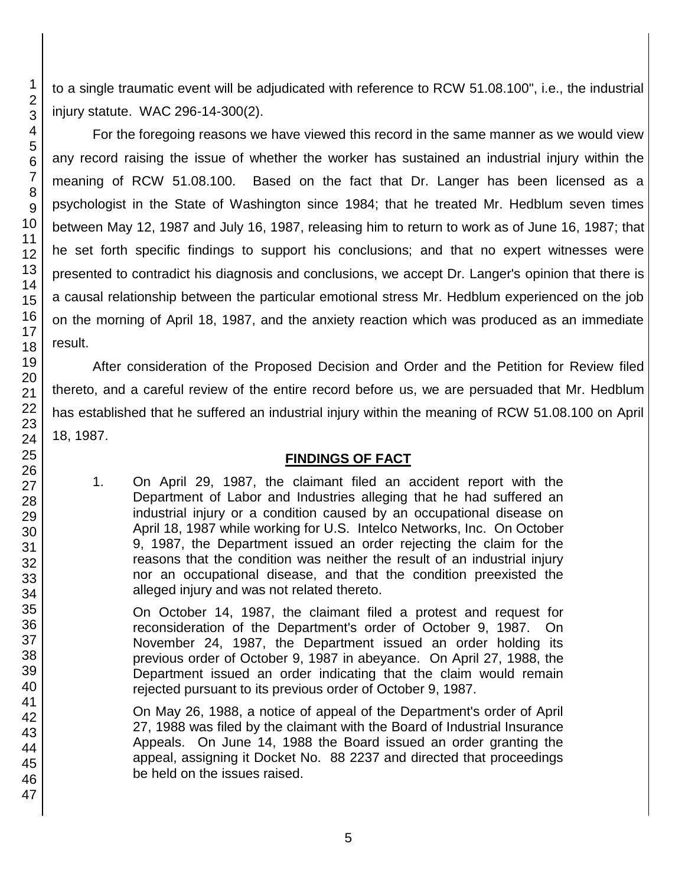to a single traumatic event will be adjudicated with reference to RCW 51.08.100", i.e., the industrial injury statute. WAC 296-14-300(2).

For the foregoing reasons we have viewed this record in the same manner as we would view any record raising the issue of whether the worker has sustained an industrial injury within the meaning of RCW 51.08.100. Based on the fact that Dr. Langer has been licensed as a psychologist in the State of Washington since 1984; that he treated Mr. Hedblum seven times between May 12, 1987 and July 16, 1987, releasing him to return to work as of June 16, 1987; that he set forth specific findings to support his conclusions; and that no expert witnesses were presented to contradict his diagnosis and conclusions, we accept Dr. Langer's opinion that there is a causal relationship between the particular emotional stress Mr. Hedblum experienced on the job on the morning of April 18, 1987, and the anxiety reaction which was produced as an immediate result.

After consideration of the Proposed Decision and Order and the Petition for Review filed thereto, and a careful review of the entire record before us, we are persuaded that Mr. Hedblum has established that he suffered an industrial injury within the meaning of RCW 51.08.100 on April 18, 1987.

## **FINDINGS OF FACT**

1. On April 29, 1987, the claimant filed an accident report with the Department of Labor and Industries alleging that he had suffered an industrial injury or a condition caused by an occupational disease on April 18, 1987 while working for U.S. Intelco Networks, Inc. On October 9, 1987, the Department issued an order rejecting the claim for the reasons that the condition was neither the result of an industrial injury nor an occupational disease, and that the condition preexisted the alleged injury and was not related thereto.

On October 14, 1987, the claimant filed a protest and request for reconsideration of the Department's order of October 9, 1987. On November 24, 1987, the Department issued an order holding its previous order of October 9, 1987 in abeyance. On April 27, 1988, the Department issued an order indicating that the claim would remain rejected pursuant to its previous order of October 9, 1987.

On May 26, 1988, a notice of appeal of the Department's order of April 27, 1988 was filed by the claimant with the Board of Industrial Insurance Appeals. On June 14, 1988 the Board issued an order granting the appeal, assigning it Docket No. 88 2237 and directed that proceedings be held on the issues raised.